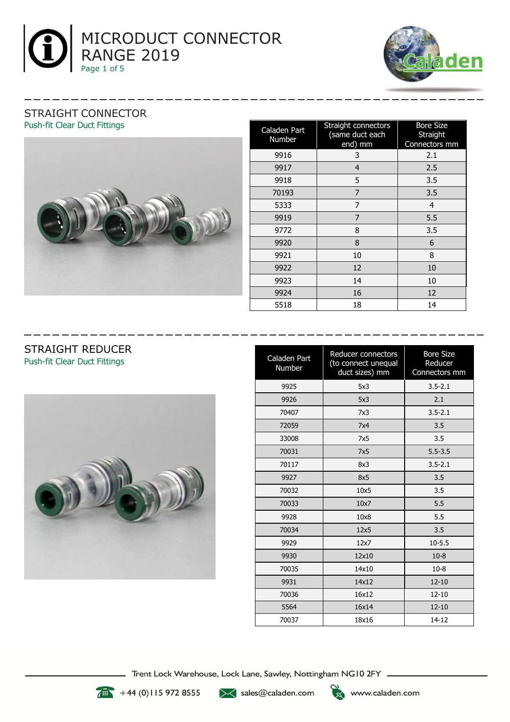



#### STRAIGHT CONNECTOR Push-fit Clear Duct Fittings



| Caladen Part<br>Number | Straight connectors<br>(same duct each<br>end) mm | <b>Bore Size</b><br>Straight<br>Connectors mm |
|------------------------|---------------------------------------------------|-----------------------------------------------|
| 9916                   | 3                                                 | 2.1                                           |
| 9917                   | 4                                                 | 2.5                                           |
| 9918                   | 5                                                 | 3.5                                           |
| 70193                  | 7                                                 | 3.5                                           |
| 5333                   | 7                                                 | 4                                             |
| 9919                   | 7                                                 | 5.5                                           |
| 9772                   | 8                                                 | 3.5                                           |
| 9920                   | 8                                                 | 6                                             |
| 9921                   | 10                                                | 8                                             |
| 9922                   | 12                                                | 10                                            |
| 9923                   | 14                                                | 10                                            |
| 9924                   | 16                                                | 12                                            |
| 5518                   | 18                                                | 14                                            |

#### STRAIGHT REDUCER Push-fit Clear Duct Fittings



| Caladen Part<br>Number | Reducer connectors<br>(to connect unequal<br>duct sizes) mm | <b>Bore Size</b><br>Reducer<br>Connectors mm |
|------------------------|-------------------------------------------------------------|----------------------------------------------|
| 9925                   | 5x3                                                         | $3.5 - 2.1$                                  |
| 9926                   | 5x3                                                         | 2.1                                          |
| 70407                  | 7x3                                                         | $3.5 - 2.1$                                  |
| 72059                  | 7x4                                                         | 3.5                                          |
| 33008                  | 7x5                                                         | 3.5                                          |
| 70031                  | 7x5                                                         | $5.5 - 3.5$                                  |
| 70117                  | 8x3                                                         | $3.5 - 2.1$                                  |
| 9927                   | 8x5                                                         | 3.5                                          |
| 70032                  | 10x5                                                        | 3.5                                          |
| 70033                  | 10x7                                                        | 5.5                                          |
| 9928                   | 10x8                                                        | 5.5                                          |
| 70034                  | 12x5                                                        | 3.5                                          |
| 9929                   | 12x7                                                        | $10 - 5.5$                                   |
| 9930                   | 12x10                                                       | $10 - 8$                                     |
| 70035                  | 14x10                                                       | $10 - 8$                                     |
| 9931                   | 14x12                                                       | $12 - 10$                                    |
| 70036                  | 16x12                                                       | $12 - 10$                                    |
| 5564                   | 16x14                                                       | $12 - 10$                                    |
| 70037                  | 18x16                                                       | 14-12                                        |

Trent Lock Warehouse, Lock Lane, Sawley, Nottingham NG10 2FY \_\_



 $\sqrt{44}$  +44 (0) 115 972 8555

>< sales@caladen.com

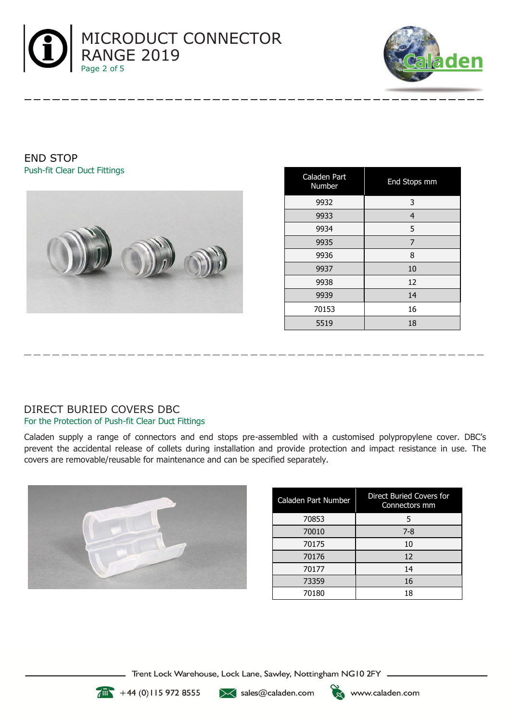



END STOP Push-fit Clear Duct Fittings



| Caladen Part<br>Number | <b>End Stops mm</b> |
|------------------------|---------------------|
| 9932                   | 3                   |
| 9933                   | 4                   |
| 9934                   | 5                   |
| 9935                   | 7                   |
| 9936                   | 8                   |
| 9937                   | 10                  |
| 9938                   | 12                  |
| 9939                   | 14                  |
| 70153                  | 16                  |
| 5519                   | 18                  |

# DIRECT BURIED COVERS DBC For the Protection of Push-fit Clear Duct Fittings

Caladen supply a range of connectors and end stops pre-assembled with a customised polypropylene cover. DBC's prevent the accidental release of collets during installation and provide protection and impact resistance in use. The covers are removable/reusable for maintenance and can be specified separately.



| Caladen Part Number | Direct Buried Covers for<br>Connectors mm |
|---------------------|-------------------------------------------|
| 70853               | 5                                         |
| 70010               | $7 - 8$                                   |
| 70175               | 10                                        |
| 70176               | 12                                        |
| 70177               | 14                                        |
| 73359               | 16                                        |
| 70180               | 18                                        |

Trent Lock Warehouse, Lock Lane, Sawley, Nottingham NG10 2FY \_



 $+44(0)1159728555$ 

 $\mathbb{K}$  sales@caladen.com

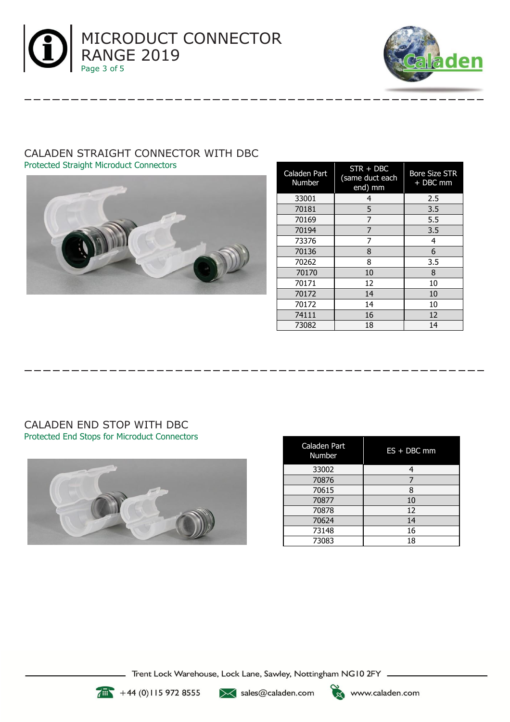



# CALADEN STRAIGHT CONNECTOR WITH DBC Protected Straight Microduct Connectors



| Caladen Part<br><b>Number</b> | $STR + DBC$<br>(same duct each<br>end) mm | <b>Bore Size STR</b><br>+ DBC mm |
|-------------------------------|-------------------------------------------|----------------------------------|
| 33001                         | 4                                         | 2.5                              |
| 70181                         | 5                                         | 3.5                              |
| 70169                         | 7                                         | 5.5                              |
| 70194                         | 7                                         | 3.5                              |
| 73376                         | 7                                         | 4                                |
| 70136                         | 8                                         | 6                                |
| 70262                         | 8                                         | 3.5                              |
| 70170                         | 10                                        | 8                                |
| 70171                         | 12                                        | 10                               |
| 70172                         | 14                                        | 10                               |
| 70172                         | 14                                        | 10                               |
| 74111                         | 16                                        | 12                               |
| 73082                         | 18                                        | 14                               |

#### CALADEN END STOP WITH DBC Protected End Stops for Microduct Connectors



| Caladen Part<br>Number | $ES + DBC$ mm |
|------------------------|---------------|
| 33002                  |               |
| 70876                  |               |
| 70615                  | 8             |
| 70877                  | 10            |
| 70878                  | 12            |
| 70624                  | 14            |
| 73148                  | 16            |
| 73083                  | 18            |



 $+44(0)115972855$   $\times$  sales@caladen.com

Trent Lock Warehouse, Lock Lane, Sawley, Nottingham NG10 2FY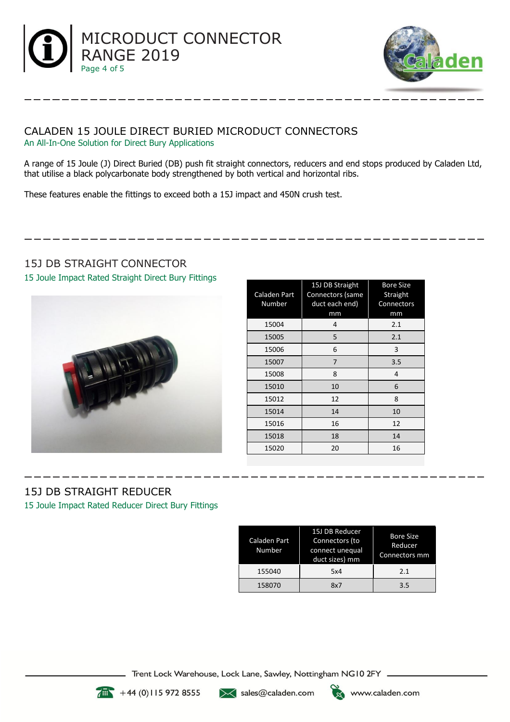



#### CALADEN 15 JOULE DIRECT BURIED MICRODUCT CONNECTORS An All-In-One Solution for Direct Bury Applications

A range of 15 Joule (J) Direct Buried (DB) push fit straight connectors, reducers and end stops produced by Caladen Ltd, that utilise a black polycarbonate body strengthened by both vertical and horizontal ribs.

These features enable the fittings to exceed both a 15J impact and 450N crush test.

# 15J DB STRAIGHT CONNECTOR

15 Joule Impact Rated Straight Direct Bury Fittings



| Caladen Part<br>Number | 15J DB Straight<br>Connectors (same<br>duct each end)<br>mm | <b>Bore Size</b><br>Straight<br>Connectors<br>mm |
|------------------------|-------------------------------------------------------------|--------------------------------------------------|
| 15004                  | 4                                                           | 2.1                                              |
| 15005                  | 5                                                           | 2.1                                              |
| 15006                  | 6                                                           | 3                                                |
| 15007                  | 7                                                           | 3.5                                              |
| 15008                  | 8                                                           | 4                                                |
| 15010                  | 10                                                          | 6                                                |
| 15012                  | 12                                                          | 8                                                |
| 15014                  | 14                                                          | 10                                               |
| 15016                  | 16                                                          | 12                                               |
| 15018                  | 18                                                          | 14                                               |
| 15020                  | 20                                                          | 16                                               |

# 15J DB STRAIGHT REDUCER

15 Joule Impact Rated Reducer Direct Bury Fittings

| Caladen Part<br>Number | 15J DB Reducer<br>Connectors (to<br>connect unequal<br>duct sizes) mm | <b>Bore Size</b><br>Reducer<br>Connectors mm |
|------------------------|-----------------------------------------------------------------------|----------------------------------------------|
| 155040                 | 5x4                                                                   | 2.1                                          |
| 158070                 | 8x7                                                                   | 3.5                                          |

Trent Lock Warehouse, Lock Lane, Sawley, Nottingham NG10 2FY \_



 $+44(0)1159728555$ 

 $\mathbb{K}$  sales@caladen.com